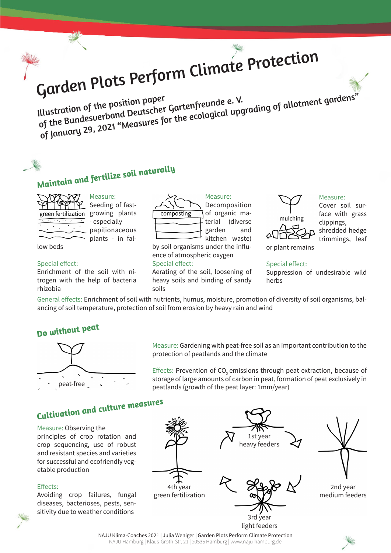Garden Plots Perform Climate Protection<br>Illustration of the position paper<br>of the Bundesverband Deutscher Gartenfreunde e.V. Illustration of the position paper<br>Illustration of the position peutscher Gartenfreunde e. V.<br>of the Bundesverband Deutscher Gartenfreunde a.V.<br>of January 29, 2021 "Measures for the ecological upgrading of allotment garden



by soil organisms under the influence of atmospheric oxygen Special effect:

Aerating of the soil, loosening of heavy soils and binding of sandy soils



Measure: Seeding of fastgreen fertilization growing plants - especially papilionaceous plants - in fal-

low beds

### Special effect:

Enrichment of the soil with nitrogen with the help of bacteria rhizobia

> Effects: Prevention of CO<sub>2</sub> emissions through peat extraction, because of storage of large amounts of carbon in peat, formation of peat exclusively in peatlands (growth of the peat layer: 1mm/year)

# **Maintain and fertilize soil naturally**



# **Do without peat**

NAJU Klima-Coaches 2021 | Julia Weniger | Garden Plots Perform Climate Protection NAJU Hamburg | Klaus-Groth-Str. 21 | 20535 Hamburg | www.naju-hamburg.de





Measure: Gardening with peat-free soil as an important contribution to the protection of peatlands and the climate



Measure: Observing the principles of crop rotation and crop sequencing, use of robust and resistant species and varieties for successful and ecofriendly vegetable production

### Effects:

Avoiding crop failures, fungal diseases, bacterioses, pests, sensitivity due to weather conditions

Measure:

Cover soil surface with grass clippings, shredded hedge trimmings, leaf

or plant remains

## Special effect:

Suppression of undesirable wild herbs

General effects: Enrichment of soil with nutrients, humus, moisture, promotion of diversity of soil organisms, balancing of soil temperature, protection of soil from erosion by heavy rain and wind